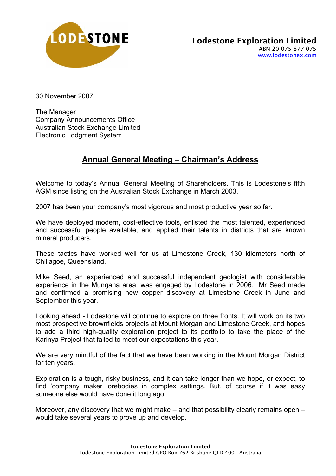

30 November 2007

The Manager Company Announcements Office Australian Stock Exchange Limited Electronic Lodgment System

## **Annual General Meeting – Chairman's Address**

Welcome to today's Annual General Meeting of Shareholders. This is Lodestone's fifth AGM since listing on the Australian Stock Exchange in March 2003.

2007 has been your company's most vigorous and most productive year so far.

We have deployed modern, cost-effective tools, enlisted the most talented, experienced and successful people available, and applied their talents in districts that are known mineral producers.

These tactics have worked well for us at Limestone Creek, 130 kilometers north of Chillagoe, Queensland.

Mike Seed, an experienced and successful independent geologist with considerable experience in the Mungana area, was engaged by Lodestone in 2006. Mr Seed made and confirmed a promising new copper discovery at Limestone Creek in June and September this year.

Looking ahead - Lodestone will continue to explore on three fronts. It will work on its two most prospective brownfields projects at Mount Morgan and Limestone Creek, and hopes to add a third high-quality exploration project to its portfolio to take the place of the Karinya Project that failed to meet our expectations this year.

We are very mindful of the fact that we have been working in the Mount Morgan District for ten years.

Exploration is a tough, risky business, and it can take longer than we hope, or expect, to find 'company maker' orebodies in complex settings. But, of course if it was easy someone else would have done it long ago.

Moreover, any discovery that we might make – and that possibility clearly remains open – would take several years to prove up and develop.